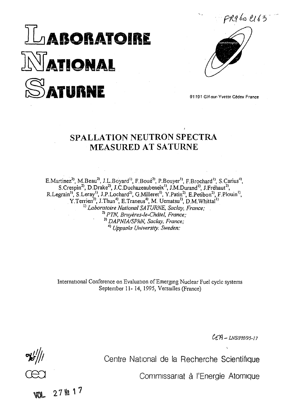# **TLABORATOIRE NATIONAL ATURNE**



91191 Gif-sur-Yvette Cédex France

## SPALLATION NEUTRON SPECTRA MEASURED AT SATURNE

E.Martinez<sup>2)</sup>, M.Beau<sup>2)</sup>, J.L.Boyard<sup>1</sup>, F.Boué<sup>2)</sup>, P.Bouyer<sup>1</sup>, F.Brochard<sup>1</sup>, S.Carius<sup>4</sup>, S.Crespin<sup>2)</sup>, D.Drake<sup>2)</sup>, J.C.Duchazeaubeneix<sup>1)</sup>, J.M.Durand<sup>1)</sup>, J.Fréhaut<sup>2)</sup>, R.Legrain<sup>3)</sup>, S.Leray<sup>1</sup>, J.P.Lochard<sup>2</sup>, G.Milleret<sup>1</sup>, Y.Patin<sup>2</sup>, E.Petibon<sup>2</sup>, F.Plouin<sup>1</sup>, Y.Terrien<sup>3)</sup>, J.Thun<sup>4)</sup>, E.Traneus<sup>4)</sup>, M. Uematsu<sup>1</sup><sup>)</sup>, D.M. Whittal<sup>11</sup><br><sup>1</sup>) *Laboratoire National SATURNE, Saclay, France*;<br><sup>2)</sup> *PTN, Bruyères-le-Châtel, France*;<br><sup>3)</sup> *DARMA(SPEM, Saclay, France*;  *DAPNIA/SPhN, Saclay, France;* 4)  *Uppsala University. Sweden:*

International Conference on Evaluation of Emerging Nuclear Fuel cycle systems September 11- 14, 1995, Versailles (France)

*CtÏÏ-LNS/PH/95-17*

Centre National de la Recherche Scientifique

Commissariat à l'Energie Atomique

27 胜 17 AUA.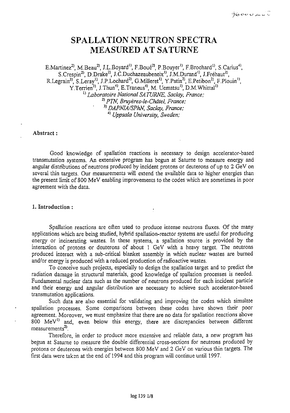## SPALLATION NEUTRON SPECTRA MEASURED AT SATURNE

E.Martinez<sup>2)</sup>, M.Beau<sup>2)</sup>, J.L.Boyard<sup>1)</sup>, F.Boué<sup>2)</sup>, P.Bouyer<sup>1</sup>, F.Brochard<sup>1)</sup>, S.Carius<sup>4)</sup>, S.Crespin<sup>2)</sup>, D.Drake<sup>2)</sup>, J.C.Duchazeaubeneix<sup>1)</sup>, J.M.Durand<sup>1)</sup>, J.Fréhaut<sup>2)</sup>, R.Legrain<sup>3)</sup>, S.Leray<sup>1</sup>, J.P.Lochard<sup>2</sup>, G.Milleret<sup>1</sup>, Y.Patin<sup>2</sup>, E.Petibon<sup>2</sup>, F.Plouin<sup>1</sup>, Y.Terrien<sup>3)</sup>, J.Thun<sup>4)</sup>, E.Traneus<sup>4</sup>, M. Uematsu<sup>1</sup>, D.M.Whittal<sup>1</sup> <sup>l)</sup> Laboratoire National SATURNE, Saclay, France; *2) PTN, Bruyères-le-Châtel, France;* 3)  *DAPNIA/SPhN, Saclay, France;* 4)  *Uppsala University, Sweden;*

### Abstract :

Good knowledge of spailation reactions is necessary to design accelerator-based transmutation systems. An extensive program has begun at Saturne to measure energy and angular distributions of neutrons produced by incident protons or deuterons of up *to 2* GeV on several thin targets. Our measurements will extend the available data to higher energies than the present limit of 800 MeV enabling improvements to the codes which are sometimes in poor agreement with the data.

#### 1. Introduction :

Spailation reactions are often used to produce intense neutrons fluxes. Of the many applications which are being studied, hybrid spallation-reactor systems are useful for producing energy or incinerating wastes. In these systems, a spailation source is provided by the interaction of protons or deuterons of about 1 GeV with a heavy target. The neutrons produced interact with a sub-critical blanket assembly in which nuclear wastes are burned and/or energy is produced with a reduced production of radioactive wastes.

To conceive such projects, especially to design the spailation target and to predict the radiation damage in structural materials, good knowledge of spailation processes is needed. Fundamental nuclear data such as the number of neutrons produced for each incident particle and their energy and angular distribution are necessary to achieve such accelerator-based transmutation applications.

Such data are also essential for validating and improving the codes which simulate spailation processes. Some comparisons between these codes have shown their poor agreement. Moreover, we must emphasize that there are no data for spallation reactions above  $800$  MeV<sup>1</sup> and, even below this energy, there are discrepancies between different measurements<sup>2)</sup>.

Therefore, in order to produce more extensive and reliable data, a new program has begun at Saturne to measure the double differential cross-sections for neutrons produced by protons or deuterons with energies between 800 MeV and 2 GeV on various thin targets. The first data were taken at the end of 1994 and this program will continue until 1997.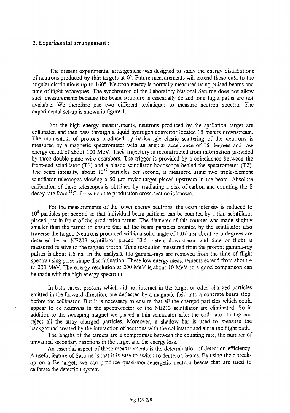#### 2. Experimental arrangement :

The present experimental arrangement was designed to study the energy distributions of neutrons produced by thin targets at 0°. Future measurements will extend these data to the angular distributions up to 160°. Neutron energy is normally measured using pulsed beams and time of flight techniques. The synchrotron of the Laboratory National Saturne does not allow such measurements because the beam structure is essentially dc and long flight paths are not available. We therefore use two different techniques to measure neutron spectra. The experimental set-up is shown in figure 1.

For the high energy measurements, neutrons produced by the spallation target are collimated and then pass through a liquid hydrogen convertor located 15 meters downstream. The momentum of protons produced by back-angle elastic scattering of the neutrons is measured by a magnetic spectrometer with an angular acceptance of IS degrees and low energy cutoff of about 100 MeV. Their trajectory is reconstructed from information provided by three double-plane wire chambers. The trigger is provided by a coincidence between the front-end scintillator (Tl) and a plastic scintillator hodoscope behind the spectrometer (T2). The beam intensity, about 10<sup>10</sup> particles per second, is measured using two triple-element scintillator telescopes viewing a 50  $\mu$ m mylar target placed upstream in the beam. Absolute calibration of these telescopes is obtained by irradiating a disk of carbon and counting the  $\beta$ decay rate from  $^{11}C$ , for which the production cross-section is known.

For the measurements of the lower energy neutrons, the beam intensity is reduced to 10<sup>6</sup> particles per second so that individual beam particles can be counted by a thin scintillator placed just in front of the production target. The diameter of this counter was made slightly smaller than the target to ensure that all the beam particles counted by the scintillator also traverse the target. Neutrons produced within a solid angle of 0.07 msr about zero degrees are detected by an NE213 scintillator placed 13.5 meters downstream and time of flight is measured relative to the tagged proton. Time resolution measured from the prompt gamma-ray pulses is about 1.5 ns. In the analysis, the gamma-rays are removed from the time of flight spectra using pulse shape discrimination. These low energy measurements extend from about 4 to 200 MeV. The energy resolution at 200 MeV is. about 10 MeV so a good comparison can be made with the high energy spectrum.

In both cases, protons which did not interact in the target or other charged particles emitted in the forward direction, are deflected by a magnetic field into a concrete beam stop, before the collimator. But it is necessary to ensure that all the charged particles which could appear to be neutrons in the spectrometer or the NE213 scintillator are eliminated, So in addition to the sweeping magnet we placed a thin scintillator after the collimator to tag and reject all the stray charged particles. Moreover, a shadow bar is used to measure the background created by the interaction of neutrons with the collimator and air in the flight path.

The lengths of the targets are a compromise between the counting rate, the number of unwanted secondary reactions in the target and the energy loss.

An essential aspect of these measurements is the determination of detection efficiency. A useful feature of Saturne is that it is easy to switch to deuteron beams. By using their breakup on a Be target, we can produce quasi-monoenergetic neutron beams that are used to calibrate the detection svstem.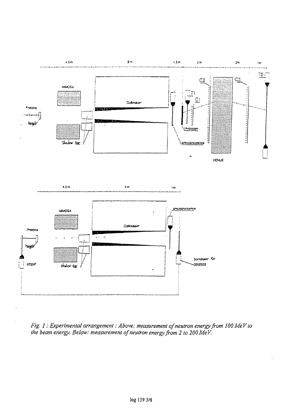

Fig. 1 : Experimental arrangement : Above: measurement of neutron energy from 100 MeV to<br>the beam energy. Below: measurement of neutron energy from 2 to 200 MeV.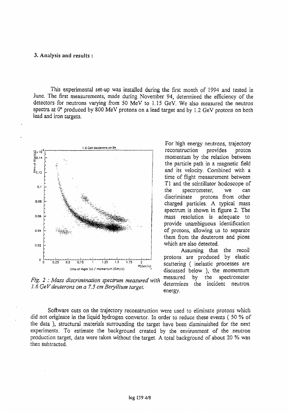#### 3. Analysis and results :

This experimental set-up was installed during the first month of 1994 and tested in June. The first measurements, made during November 94, determined the efficiency of the detectors.for neutrons varying from 50 MeV to 1.15 GeV. We also measured the neutron spectra at 0° produced by 800 MeV protons on a lead target and by 1.2 GeV protons on both lead and iron targets.



*Fig. 2 : Mass discrimination spectrum measured with 1.6 GeV deuterons on a 7.5 cm Beryllium target.* 

For high energy neutrons, trajectory reconstruction provides proton momentum by the relation between the particle path in a magnetic field and its velocity. Combined with a time of flight measurement between Tl and the scintillator hodoscope of the spectrometer, we can discriminate protons from other charged particles. A typical mass spectrum is shown in figure 2. The mass resolution is adequate to provide unambiguous identification of protons, allowing us to separate them from the deuterons and pions which are also detected.

Assuming that the recoil protons are produced by elastic scattering ( inelastic processes are discussed below ), the momentum measured by the spectrometer rea by the spectrom<br>ince the incident now measured energy.

Software cuts on the trajectory reconstruction were used to eliminate protons which did not originate in the liquid hydrogen convenor. In order to reduce these events ( 50 % of the data ), structural materials surrounding the target have been disminuished for the next experiments. To estimate the background created by the environment of the neutron production target, data were taken without the target. A total background of about 20 % was then subtracted.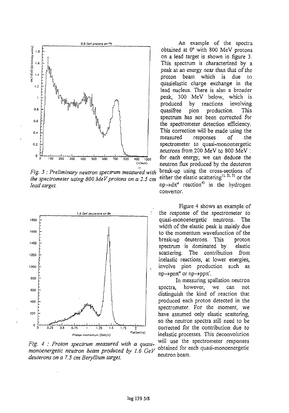

*Fig. 3 : Preliminary nevtron spectrum measured with* break-up using the cross-sections of *the spectrometer using 800 MeV protons on a 2.5 cm lead target*<br>lead target. np->d $\pi^0$ 



*Fig. 4 : Proton spectrum measured with a quasimonoenergetic neutron beam produced by 1.6 GeV* obtained for each respectively. *deuterons on a 7.5 cm Beryllium target.* 

o.a cev protons on <sup>p</sup>b and contained a contained by the spectral contained by An example of the spectral obtained at 0° with 800 MeV protons on a lead target is shown in figure 3. This spectrum is characterized by a peak at an energy near than that of the proton beam which is due to quasielastic charge exchange in the lead nucleus. There is also a broader peak, 300 MeV below, which is produced by reactions involving quasifree pion production. This spectrum has not been corrected for the spectrometer detection efficiency. This correction will be made using the measured responses of the spectrometer to quasi-monoenergetic neutrons from 200 MeV to 800 MeV : for each energy, we can deduce the neutron flux produced by the deuteron either the elastic scattering<sup>1), 2), 3)</sup> or the  $reaction<sup>4</sup>$  in the hydrogen convertor.

> Figure 4 shows an example of the response of the spectrometer to quasi-monoenergetic neutrons. The width of the elastic peak is mainly due to the momentum wavefunction of the break-up deuterons. This proton spectrum is dominated by elastic scattering. The contribution from inelastic reactions, at lower energies, involve pion production such as  $np\rightarrow pn\pi^o$  or  $np\rightarrow pp\pi^o$ .

In measuring spallation neutron spectra, however, we can not distinguish the kind of reaction that produced each proton detected in the spectrometer. For the moment, we have assumed only elastic scattering, so the neutron spectra still need to be corrected for the contribution due to inelastic processes. This deconvolution will use the spectrometer responses obtained for each quasi-monoenergetic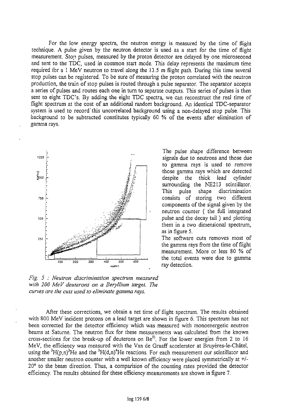For the low energy spectra, the neutron energy is measured by the time of flight technique. A pulse given by the neutron detector is used as a start for the time of flight measurement. Stop pulses, measured by the proton detector are delayed by one microsecond and sent to the TDC, used in common start mode. This delay represents the maximum time required for a 1 MeV neutron to travel along the 13.5 m flight path. During this time several stop pulses can be registered. To be sure of measuring the proton correlated with the neutron production, the train of stop pulses is routed through a pulse separator. The separator accepts a series of pulses and routes each one in turn to separate outputs. This series of pulses is then sent to eight TDC's. By adding the eight TDC spectra, we can reconstruct the real time of flight spectrum at the cost of an additional random background. An identical TDC-separator system is used to record'this uncorrelated background using a non-delayed stop pulse. This background to be subtracted constitutes typically 60 % of the events after elimination of gamma rays.



The pulse shape difference between signals due to neutrons and those due to gamma rays is used to remove those gamma rays which are detected despite the thick lead cylinder surrounding the NE213 scintillator. This pulse shape discrimination consists of storing two different components of the signal given by the neutron counter ( the full integrated pulse and the decay tail ) and plotting them in a two dimensional spectrum, as in figure 5.

The software cuts removes most of the gamma rays from the time of flight measurement. More or less 80 % of the total events were due to gamma ray detection.

*Fig.* 5 : *Neutron discrimination spectrum measured with 200 MeV deuterons on a Beryllium target. The curves are the cuts used to eliminate gamma rays.*

After these corrections, we obtain a net time of flight spectrum. The results obtained with 800 MeV incident protons on a lead target are shown in figure 6. This spectrum has not been corrected for the detector efficiency which was measured with monoenergetic neutron beams at Saturne. The neutron flux for these measurements was calculated from the known cross-sections for the break-up of deuterons on  $\mathrm{Be}^{5}$ . For the lower energies from 2 to 16 MeV, the efficiency was measured with the Van de Graaff accelerator at Bruyères-le-Châtel, using the  ${}^{3}H(p,n){}^{3}He$  and the  ${}^{3}H(d,n){}^{4}He$  reactions. For each measurement our scintillator and another smaller neutron counter with a well known efficiency were placed symmetrically at +/- 20° to the beam direction. Thus, a comparision of the counting rates provided the detector efficiency. The results obtained for these efficiency measurements are shown in figure 7.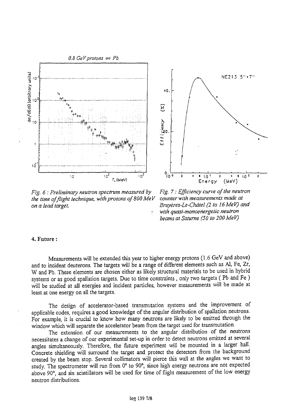

Fig. 6 : Preliminary neutron spectrum measured by Fig. 7 : Efficiency curve of the neutron<br>the time of flight technique, with protons of 800 MeV counter with measurements made at *the time of flight technique, with protons of 800 MeV on a lead target. Bruyères-Le~Châtel (2 to 16MeV) and*

*with quasi-monoenergetic neutron beams at Saturne (50 to 200 MeV)*

#### 4. Future :

Measurements will be extended this year to higher energy protons (1.6 GeV and above) and to incident deuterons. The targets will be a range of different elements such as Al, Fe, Zr, W and Pb. These elements are chosen either as likely structural materials to be used in hybrid systems or as good spallation targets. Due to time constraints, only two targets (Pb and Fe) will be studied at all energies and incident particles, however measurements will be made at least at one energy on all the targets.

The design of accelerator-based transmutation systems and the improvement of applicable codes, requires a good knowledge of the angular distribution of spallation neutrons. For example, it is crucial to know how many neutrons are likeiy to be emitted through the window which will separate the accelerator beam from the target used for transmutation.

The extension of our measurements to the angular distribution of the neutrons necessitates a change of our experimental set-up in order to detect neutrons emitted at several angles simultaneously. Therefore, the future experiment will be mounted in a larger hall. Concrete shielding will surround the target and protect the detectors from the background created by the beam stop. Several collimators will pierce this wall at the angles we want to study. The spectrometer will run from 0° to 90°, since high energy neutrons are not expected above *90°,* and six scintillators will be used for time of flight measurement of the low energy neutron distributions.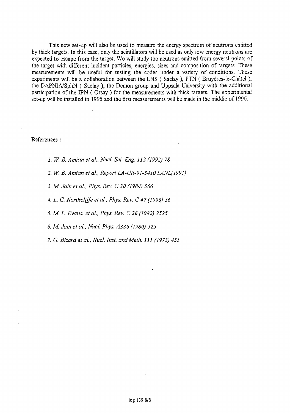This new set-up will also be used to measure the energy spectrum of neutrons emitted by thick targets. In this case, only the scintillators will be used as only low energy neutrons are expected to escape from the target. We will study the neutrons emitted from several points of the target with different incident particles, energies, sizes and composition of targets. These measurements will be useful for testing the codes under a variety of conditions. These experiments will be a collaboration between the LNS ( Saclay ), PTN ( Bruyères-le-Châtel ), the DAPNIA/SphN ( Saclay ), the Demon group and Uppsala University with the additional participation of the EPN ( Orsay ) for the measurements with thick targets. The experimental set-up will be installed in 1995 and the first measurements will be made in the middle of 1996.

#### References :

- *1. W. B. Amian et al, Nucl. Sci. Eng. 112 (1992) 78*
- *2. W. B. Amian et al, Report LA-UR-91-3410 LANL(1991)*
- *3. M. Jain et al., Phys. Rev. C 30 (1984) 566*
- *4. L. C. Northcliffe el al, Phys. Rev. C 47 (1993) 36*
- *5. M. L. Evans, et al., Phys. Rev. C 26 (1982) 2525*
- *6. M. Jain et ai, Nucl. Phys. A336 (1980) 325*
- *7. G. Bizardet ai, NucL Inst. andMeth. Ill (1973) 451*